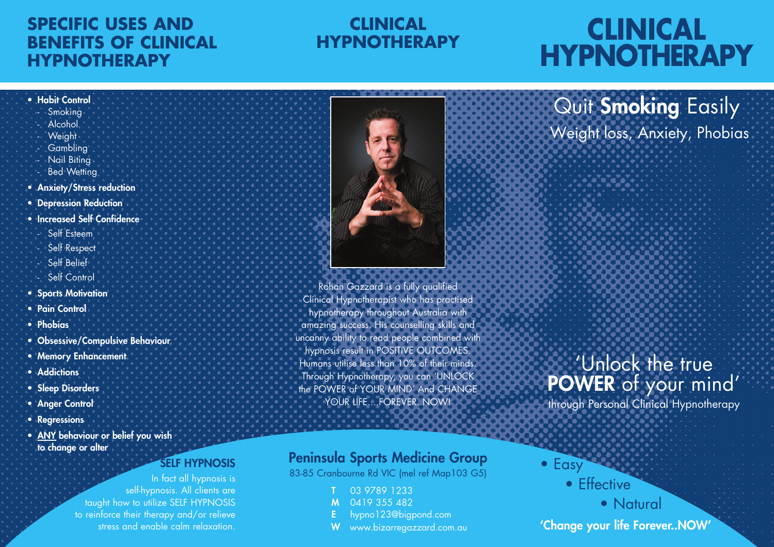## **SPECIFIC USES AND BENEFITS OF CLINICAL HYPNOTHERAPY**

## **CLINICAL HYPNOTHERAPY**

## **CLINICAL HYPNOTHERAPY**

Quit Smoking Easily

Weight loss, Anxiety, Phobias

#### • Habit Control

- Smoking
- **Alcohol Weight**
- 
- **Gambling** - Nail Biting
- Bed Wetting
- Anxiety/Stress reduction
- Depression Reduction
- Increased Self Confidence - Self Esteem
	- Self Respect
	- Self Belief
- Self Control
- Sports Motivation
- Pain Control
- Phobias
- Obsessive/Compulsive Behaviour
- Memory Enhancement
- Addictions
- Sleep Disorders
- Anger Control
- Regressions
- ANY behaviour or belief you wish to change or alter

### SELF HYPNOSIS

In fact all hypnosis is self-hypnosis. All clients are taught how to utilize SELF HYPNOSIS to reinforce their therapy and/or relieve stress and enable calm relaxation.



Rohan Gazzard is a fully qualified Clinical Hypnotherapist who has practised hypnotherapy throughout Australia with amazing success. His counselling skills and uncanny ability to read people combined with hypnosis result in POSITIVE OUTCOMES. Humans utilise less than 10% of their minds. Through Hypnotherapy, you can 'UNLOCK the POWER of YOUR MIND' And CHANGE YOUR LIFE....FOREVER..NOW!

## Peninsula Sports Medicine Group

83-85 Cranbourne Rd VIC (mel ref Map103 G5)

- 03 9789 1233
- M 0419 355 482
- E hypno123@bigpond.com
- W www.bizarregazzard.com.au

## 'Unlock the true POWER of your mind'

through Personal Clinical Hypnotherapy

• Easy • Effective

- Natural 'Change your life Forever..NOW'
	-